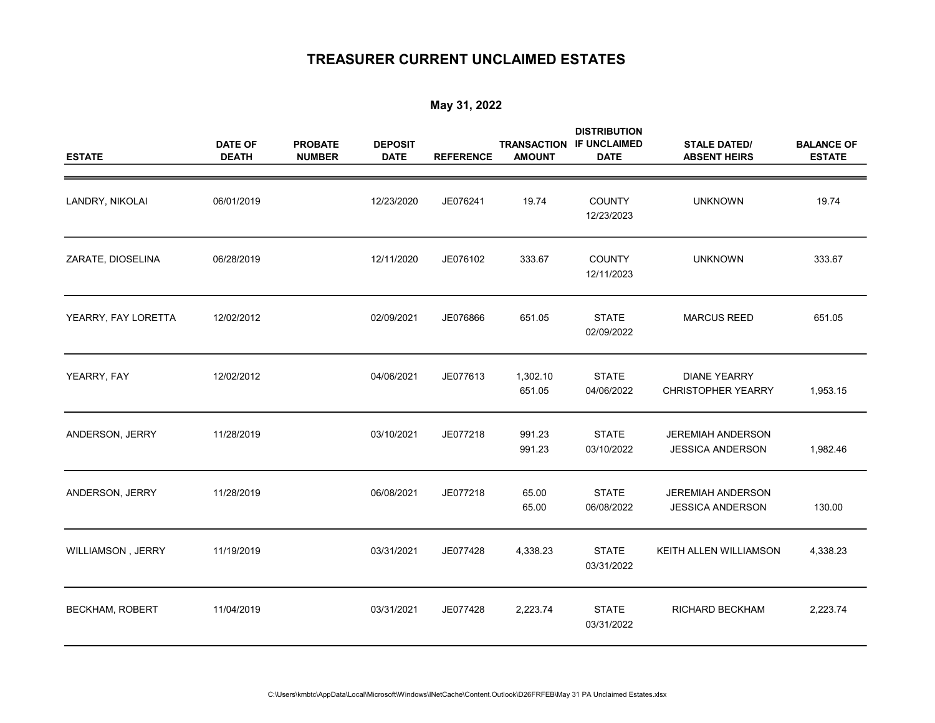## TREASURER CURRENT UNCLAIMED ESTATES

## May 31, 2022

| <b>ESTATE</b>            | <b>DATE OF</b><br><b>DEATH</b> | <b>PROBATE</b><br><b>NUMBER</b> | <b>DEPOSIT</b><br><b>DATE</b> | <b>REFERENCE</b> | <b>TRANSACTION</b><br><b>AMOUNT</b> | <b>DISTRIBUTION</b><br><b>IF UNCLAIMED</b><br><b>DATE</b> | <b>STALE DATED/</b><br><b>ABSENT HEIRS</b>          | <b>BALANCE OF</b><br><b>ESTATE</b> |
|--------------------------|--------------------------------|---------------------------------|-------------------------------|------------------|-------------------------------------|-----------------------------------------------------------|-----------------------------------------------------|------------------------------------|
| LANDRY, NIKOLAI          | 06/01/2019                     |                                 | 12/23/2020                    | JE076241         | 19.74                               | <b>COUNTY</b><br>12/23/2023                               | <b>UNKNOWN</b>                                      | 19.74                              |
| ZARATE, DIOSELINA        | 06/28/2019                     |                                 | 12/11/2020                    | JE076102         | 333.67                              | <b>COUNTY</b><br>12/11/2023                               | <b>UNKNOWN</b>                                      | 333.67                             |
| YEARRY, FAY LORETTA      | 12/02/2012                     |                                 | 02/09/2021                    | JE076866         | 651.05                              | <b>STATE</b><br>02/09/2022                                | <b>MARCUS REED</b>                                  | 651.05                             |
| YEARRY, FAY              | 12/02/2012                     |                                 | 04/06/2021                    | JE077613         | 1,302.10<br>651.05                  | <b>STATE</b><br>04/06/2022                                | <b>DIANE YEARRY</b><br><b>CHRISTOPHER YEARRY</b>    | 1,953.15                           |
| ANDERSON, JERRY          | 11/28/2019                     |                                 | 03/10/2021                    | JE077218         | 991.23<br>991.23                    | <b>STATE</b><br>03/10/2022                                | JEREMIAH ANDERSON<br><b>JESSICA ANDERSON</b>        | 1,982.46                           |
| ANDERSON, JERRY          | 11/28/2019                     |                                 | 06/08/2021                    | JE077218         | 65.00<br>65.00                      | <b>STATE</b><br>06/08/2022                                | <b>JEREMIAH ANDERSON</b><br><b>JESSICA ANDERSON</b> | 130.00                             |
| <b>WILLIAMSON, JERRY</b> | 11/19/2019                     |                                 | 03/31/2021                    | JE077428         | 4,338.23                            | <b>STATE</b><br>03/31/2022                                | KEITH ALLEN WILLIAMSON                              | 4,338.23                           |
| BECKHAM, ROBERT          | 11/04/2019                     |                                 | 03/31/2021                    | JE077428         | 2,223.74                            | <b>STATE</b><br>03/31/2022                                | RICHARD BECKHAM                                     | 2,223.74                           |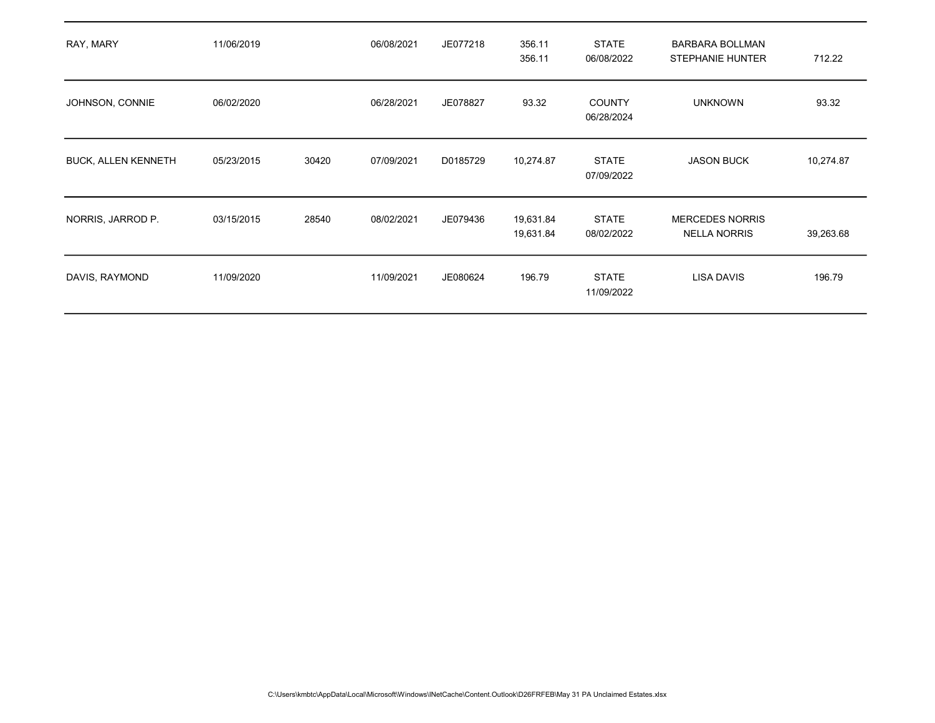| RAY, MARY                  | 11/06/2019 |       | 06/08/2021 | JE077218 | 356.11<br>356.11       | <b>STATE</b><br>06/08/2022  | <b>BARBARA BOLLMAN</b><br><b>STEPHANIE HUNTER</b> | 712.22    |
|----------------------------|------------|-------|------------|----------|------------------------|-----------------------------|---------------------------------------------------|-----------|
| JOHNSON, CONNIE            | 06/02/2020 |       | 06/28/2021 | JE078827 | 93.32                  | <b>COUNTY</b><br>06/28/2024 | <b>UNKNOWN</b>                                    | 93.32     |
| <b>BUCK, ALLEN KENNETH</b> | 05/23/2015 | 30420 | 07/09/2021 | D0185729 | 10,274.87              | <b>STATE</b><br>07/09/2022  | <b>JASON BUCK</b>                                 | 10,274.87 |
| NORRIS, JARROD P.          | 03/15/2015 | 28540 | 08/02/2021 | JE079436 | 19,631.84<br>19,631.84 | <b>STATE</b><br>08/02/2022  | <b>MERCEDES NORRIS</b><br><b>NELLA NORRIS</b>     | 39,263.68 |
| DAVIS, RAYMOND             | 11/09/2020 |       | 11/09/2021 | JE080624 | 196.79                 | <b>STATE</b><br>11/09/2022  | <b>LISA DAVIS</b>                                 | 196.79    |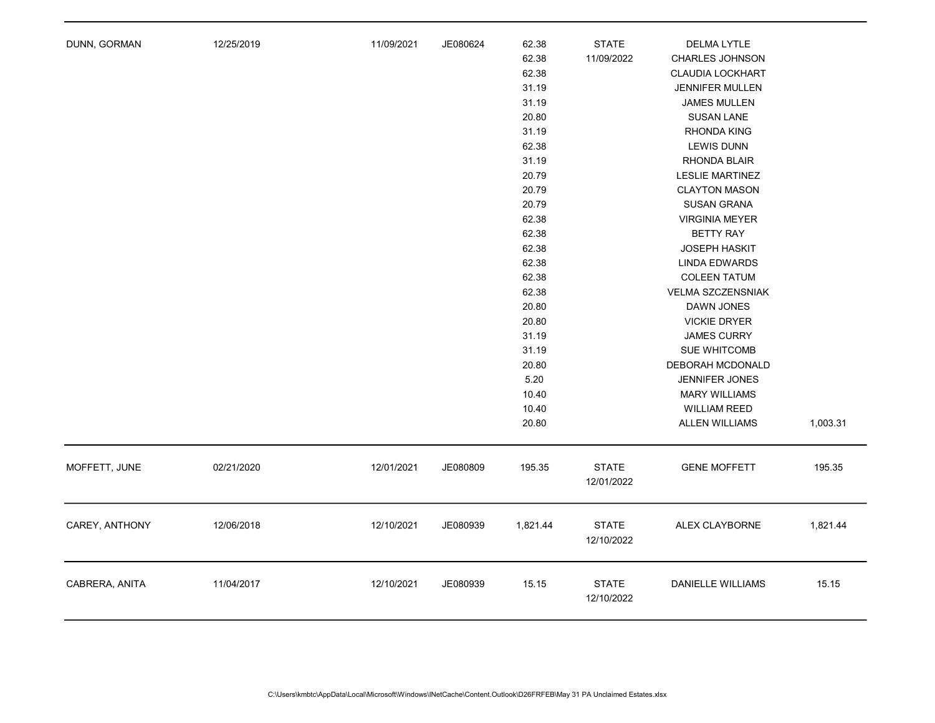| DUNN, GORMAN   | 12/25/2019 | 11/09/2021 | JE080624 | 62.38<br>62.38<br>62.38<br>31.19<br>31.19<br>20.80<br>31.19<br>62.38<br>31.19<br>20.79<br>20.79<br>20.79<br>62.38<br>62.38<br>62.38<br>62.38<br>62.38<br>62.38<br>20.80<br>20.80<br>31.19<br>31.19<br>20.80<br>5.20<br>10.40<br>10.40<br>20.80 | <b>STATE</b><br>11/09/2022 | <b>DELMA LYTLE</b><br>CHARLES JOHNSON<br><b>CLAUDIA LOCKHART</b><br>JENNIFER MULLEN<br><b>JAMES MULLEN</b><br><b>SUSAN LANE</b><br>RHONDA KING<br><b>LEWIS DUNN</b><br>RHONDA BLAIR<br><b>LESLIE MARTINEZ</b><br><b>CLAYTON MASON</b><br>SUSAN GRANA<br><b>VIRGINIA MEYER</b><br><b>BETTY RAY</b><br><b>JOSEPH HASKIT</b><br><b>LINDA EDWARDS</b><br><b>COLEEN TATUM</b><br>VELMA SZCZENSNIAK<br>DAWN JONES<br><b>VICKIE DRYER</b><br><b>JAMES CURRY</b><br><b>SUE WHITCOMB</b><br>DEBORAH MCDONALD<br><b>JENNIFER JONES</b><br><b>MARY WILLIAMS</b><br><b>WILLIAM REED</b><br><b>ALLEN WILLIAMS</b> | 1,003.31 |
|----------------|------------|------------|----------|------------------------------------------------------------------------------------------------------------------------------------------------------------------------------------------------------------------------------------------------|----------------------------|------------------------------------------------------------------------------------------------------------------------------------------------------------------------------------------------------------------------------------------------------------------------------------------------------------------------------------------------------------------------------------------------------------------------------------------------------------------------------------------------------------------------------------------------------------------------------------------------------|----------|
| MOFFETT, JUNE  | 02/21/2020 | 12/01/2021 | JE080809 | 195.35                                                                                                                                                                                                                                         | <b>STATE</b><br>12/01/2022 | <b>GENE MOFFETT</b>                                                                                                                                                                                                                                                                                                                                                                                                                                                                                                                                                                                  | 195.35   |
| CAREY, ANTHONY | 12/06/2018 | 12/10/2021 | JE080939 | 1,821.44                                                                                                                                                                                                                                       | <b>STATE</b><br>12/10/2022 | ALEX CLAYBORNE                                                                                                                                                                                                                                                                                                                                                                                                                                                                                                                                                                                       | 1,821.44 |
| CABRERA, ANITA | 11/04/2017 | 12/10/2021 | JE080939 | 15.15                                                                                                                                                                                                                                          | <b>STATE</b><br>12/10/2022 | <b>DANIELLE WILLIAMS</b>                                                                                                                                                                                                                                                                                                                                                                                                                                                                                                                                                                             | 15.15    |